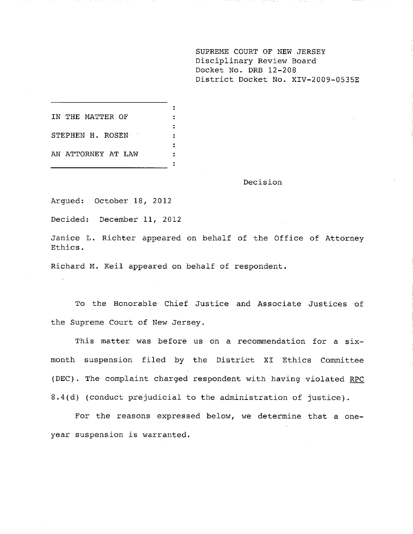**SUPREME COURT OF NEW JERSEY** Disciplinary Review Board Docket No. DRB 12-208 District Docket No. XIV-2009-0535E

| IN THE MATTER OF   |  |
|--------------------|--|
| STEPHEN H. ROSEN   |  |
| AN ATTORNEY AT LAW |  |

Decision

Argued: October 18, 2012

Decided: December 11, 2012

Janice L. Richter appeared on behalf of the Office of Attorney Ethics.

Richard M. Keil appeared on behalf of respondent.

To the Honorable Chief Justice and Associate Justices of the Supreme Court of New Jersey.

This matter was before us on a recommendation for a sixmonth suspension filed by the District XI Ethics Committee (DEC). The complaint charged respondent with having violated RPC 8.4(d) (conduct prejudicial to the administration of justice).

For the reasons expressed below, we determine that a oneyear suspension is warranted.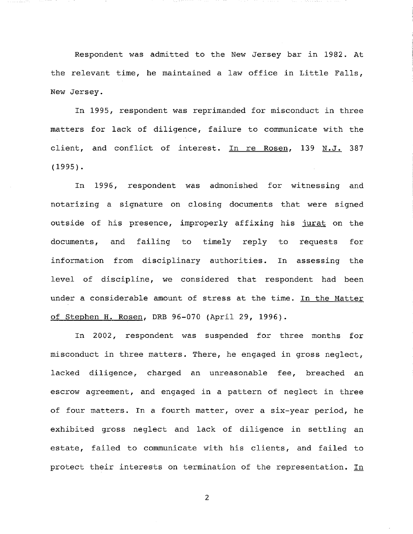Respondent was admitted to the New Jersey bar in 1982. At the relevant time, he maintained a law office in Little Falls, New Jersey.

In 1995, respondent was reprimanded for misconduct in three matters for lack of diligence, failure to communicate with the client, and conflict of interest. In re Rosen, 139 N.J. 387 (1995).

In 1996, respondent was admonished for witnessing and notarizing a signature on closing documents that were signed outside of his presence, improperly affixing his jurat on the documents, and failing to timely reply to requests for information from disciplinary authorities. In assessing the level of discipline, we considered that respondent had been under a considerable amount of stress at the time. In the Matter of Stephen H. Rosen, DRB 96-070 (April 29, 1996).

In 2002, respondent was suspended for three months for misconduct in three matters. There, he engaged in gross neglect, lacked diligence, charged an unreasonable fee, breached an escrow agreement, and engaged in a pattern of neglect in three of four matters. In a fourth matter, over a six-year period, he exhibited gross neglect and lack of diligence in settling an estate, failed to communicate with his clients, and failed to protect their interests on termination of the representation. In

 $\overline{2}$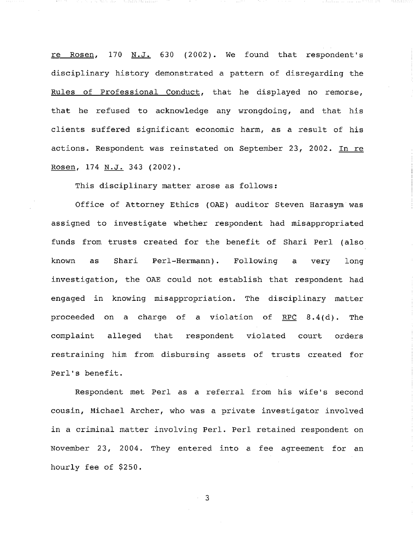re Rosen, 170 N.J. 630 (2002). We found that respondent's disciplinary history demonstrated a pattern of disregarding the Rules of Professional Conduct, that he displayed no remorse, that he refused to acknowledge any wrongdoing, and that his clients suffered significant economic harm, as a result of his actions. Respondent was reinstated on September 23, 2002. In re Rosen, 174 N.J. 343 (2002).

This disciplinary matter arose as follows:

an the Martin Anna

a a tha bheile i thi i minim a

Office of Attorney Ethics (OAE) auditor Steven Harasym was assigned to investigate whether respondent had misappropriated funds from trusts created for the benefit of Shari Perl (also known as Shari Perl-Hermann). Following a very long investigation, the OAE could not establish that respondent had engaged in knowing misappropriation. The disciplinary matter proceeded on a charge of a violation of RPC 8.4(d). The complaint alleged that respondent violated court orders restraining him from disbursing assets of trusts created for Perl's benefit.

Respondent met Perl as a referral from his wife's second cousin, Michael Archer, who was a private investigator involved in a criminal matter involving Perl. Perl retained respondent on November 23, 2004. They entered into a fee agreement for an hourly fee of \$250.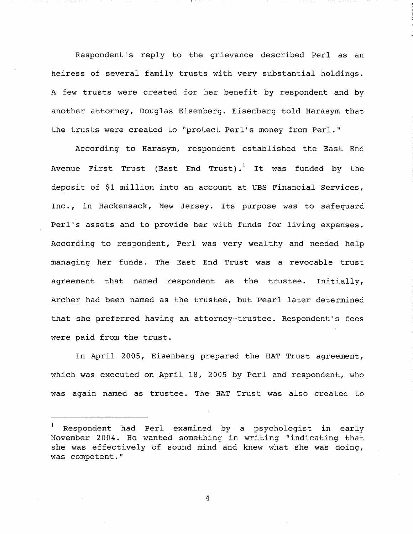Respondent's reply to the grievance described Perl as an heiress of several family trusts with very substantial holdings. A few trusts were created for her benefit by respondent and by another attorney, Douglas Eisenberg. Eisenberg told Harasym that the trusts were created to "protect Perl's money from Perl."

in an meanga atau a

According to Harasym, respondent established the East End Avenue First Trust (East End Trust).<sup>1</sup> It was funded by the deposit of \$i million into an account at UBS Financial Services, Inc., in Hackensack, New Jersey. Its purpose was to safeguard Perl's assets and to provide her with funds for living expenses. According to respondent, Perl was very wealthy and needed help managing her funds. The East End Trust was a revocable trust agreement that named respondent as the trustee. Initially, Archer had been named as the trustee, but Pearl later determined that she preferred having an attorney-trustee. Respondent's fees were paid from the trust.

In April 2005, Eisenberg prepared the HAT Trust agreement, which was executed on April 18, 2005 by Perl and respondent, who was again named as trustee. The HAT Trust was also created to

**<sup>]</sup>** Respondent had Perl examined by a psychologist in early November 2004. He wanted something in writing "indicating that she was effectively of sound mind and knew what she was doing, was competent."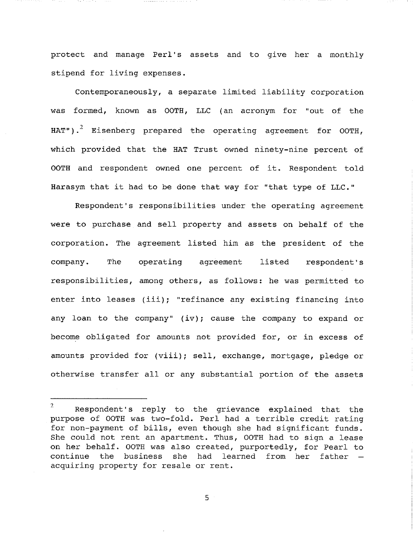protect and manage Perl's assets and to give her a monthly stipend for living expenses.

Contemporaneously, a separate limited liability corporation was formed, known as OOTH, LLC (an acronym for "out of the HAT").<sup>2</sup> Eisenberg prepared the operating agreement for OOTH, which provided that the HAT Trust owned ninety-nine percent of OOTH and respondent owned one percent of it. Respondent told Harasym that it had to be done that way for "that type of LLC."

Respondent's responsibilities under the operating agreement were to purchase and sell property and assets on behalf of the corporation. The agreement listed him as the president of the company. The operating agreement listed respondent's responsibilities, among others, as follows: he was permitted to enter into leases (iii); "refinance any existing financing into any loan to the company" (iv); cause the company to expand or become obligated for amounts not provided for, or in excess of amounts provided for (viii); sell, exchange, mortgage, pledge or otherwise transfer all or any substantial portion of the assets

 $\mathbf{2}$ Respondent's reply to the grievance explained that the purpose of OOTH was two-fold. Perl had a terrible credit rating for non-payment of bills, even though she had significant funds. She could not rent an apartment. Thus, OOTH had to sign a lease on her behalf. OOTH was also created, purportedly, for Pearl to continue the business she had learned from her father  $$ acquiring property for resale or rent.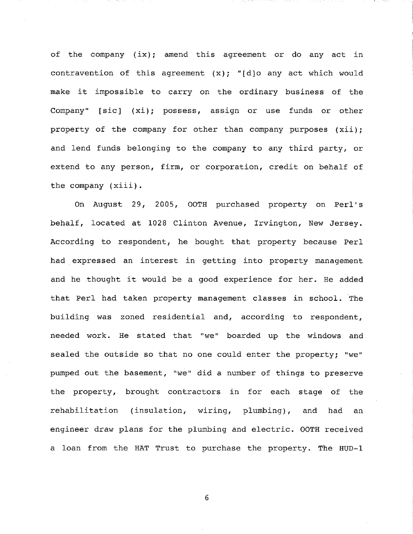of the company (ix); amend this agreement or do any act in contravention of this agreement  $(x)$ ; "[d]o any act which would make it impossible to carry on the ordinary business of the Company" [sic] (xi); possess, assign or use funds or other property of the company for other than company purposes (xii); and lend funds belonging to the company to any third party, or extend to any person, firm, or corporation, credit on behalf of the company (xiii).

On August 29, 2005, OOTH purchased property on Perl's behalf, located at 1028 Clinton Avenue, Irvington, New Jersey. According to respondent, he bought that property because Perl had expressed an interest in getting into property management and he thought it would be a good experience for her. He added that Perl had taken property management classes in school. The building was zoned residential and, according to respondent, needed work. He stated that "we" boarded up the windows and sealed the outside so that no one could enter the property; "we" pumped out the basement, "we" did a number of things to preserve the property, brought contractors in for each stage of the rehabilitation (insulation, wiring, plumbing), and had an engineer draw plans for the plumbing and electric. OOTH received a loan from the HAT Trust to purchase the property. The HUD-I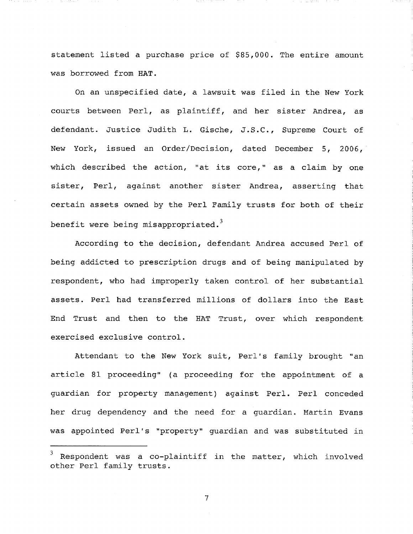statement listed a purchase price of \$85,000. The entire amount was borrowed from HAT.

On an unspecified date, a lawsuit was filed in the New York courts between Perl, as plaintiff, and her sister Andrea, as defendant. Justice Judith L. Gische, J.S.C., Supreme Court of New York, issued an Order/Decision, dated December 5, 2006, which described the action, "at its core," as a claim by one sister, Perl, against another sister Andrea, asserting that certain assets owned by the Perl Family trusts for both of their benefit were being misappropriated.<sup>3</sup>

According to the decision, defendant Andrea accused Perl of being addicted to prescription drugs and of being manipulated by respondent, who had improperly taken control of her substantial assets. Perl had transferred millions of dollars into the East End Trust and then to the HAT Trust, over which respondent exercised exclusive control.

Attendant to the New York suit, Perl's family brought "an article 81 proceeding" (a proceeding for the appointment of a guardian for property management) against Perl. Perl conceded her drug dependency and the need for a guardian. Martin Evans was appointed Perl's "property" guardian and was substituted in

 $\overline{7}$ 

Respondent was a co-plaintiff in the matter, which involved other Perl family trusts.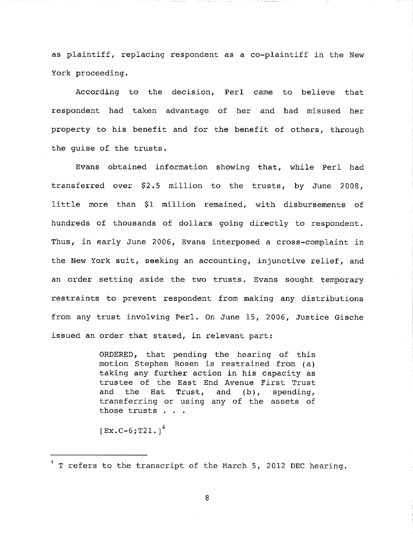as plaintiff, replacing respondent as a co-plaintiff in the New York proceeding.

t Salah Makawangan

According to the decision, Perl came to believe that respondent had taken advantage of her and had misused her property to his benefit and for the benefit of others, through the guise of the trusts.

Evans obtained information showing that, while Perl had transferred over \$2.5 million to the trusts, by June 2008, little more than \$i million remained, with disbursements of hundreds of thousands of dollars going directly to respondent. Thus, in early June 2006, Evans interposed a cross-complaint in the New York suit, seeking an accounting, injunctive relief, and an order setting aside the two trusts. Evans sought temporary restraints to prevent respondent from making any distributions from any trust involving Perl. On June 15, 2006, Justice Gische issued an order that stated, in relevant part:

> ORDERED, that pending the hearing of this motion Stephen Rosen is restrained from (a) taking any further action in his capacity as trustee of the East End Avenue First Trust and the Hat Trust, and (b), spending, transferring or using any of the assets of those trusts . . .

 $[Ex.C-6;T21.]<sup>4</sup>$ 

 $4$  T refers to the transcript of the March 5, 2012 DEC hearing.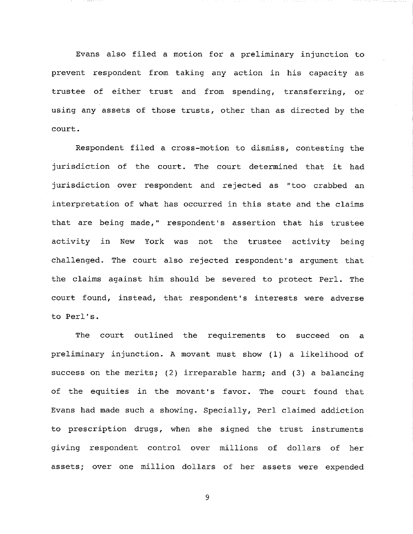Evans also filed a motion for a preliminary injunction to prevent respondent from taking any action in his capacity as trustee of either trust and from spending, transferring, or using any assets of those trusts, other than as directed by the court.

Respondent filed a cross-motion to dismiss, contesting the jurisdiction of the court. The court determined that it had jurisdiction over respondent and rejected as "too crabbed an interpretation of what has occurred in this state and the claims that are being made," respondent's assertion that his trustee activity in New York was not the trustee activity being challenged. The court also rejected respondent's argument that the claims against him should be severed to protect Perl. The court found, instead, that respondent's interests were adverse to Perl's.

The court outlined the requirements to succeed on a preliminary injunction. A movant must show (i) a likelihood of success on the merits; (2) irreparable harm; and (3) a balancing of the equities in the movant's favor. The court found that Evans had made such a showing. Specially, Perl claimed addiction to prescription drugs, when she signed the trust instruments giving respondent control over millions of dollars of her assets; over one million dollars of her assets were expended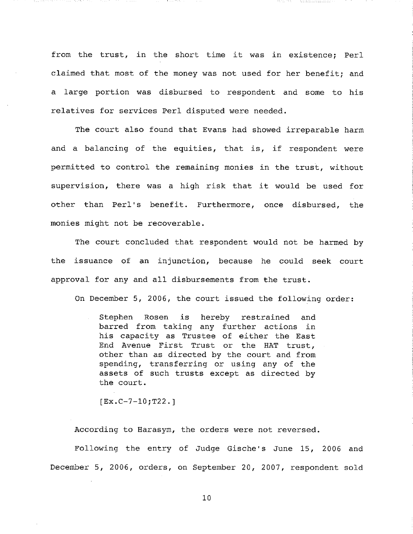from the trust, in the short time it was in existence; Perl claimed that most of the money was not used for her benefit; and a large portion was disbursed to respondent and some to his relatives for services Perl disputed were needed.

- 1001000000000000

The court also found that Evans had showed irreparable harm and a balancing of the equities, that is, if respondent were permitted to control the remaining monies in the trust, without supervision, there was a high risk that it would be used for other than Perl's benefit. Furthermore, once disbursed, the monies might not be recoverable.

The court concluded that respondent would not be harmed by the issuance of an injunction, because he could seek court approval for any and all disbursements from the trust.

On December 5, 2006, the court issued the following order:

Stephen Rosen is hereby restrained and barred from taking any further actions in his capacity as Trustee of either the East End Avenue First Trust or the HAT trust, other than as directed by the court and from spending, transferring or using any of the assets of such trusts except as directed by the court.

[Ex.C-7-10;T22.]

99 - NASA

According to Harasym, the orders were not reversed.

Following the entry of Judge Gische's June 15, 2006 and December 5, 2006, orders, on September 20, 2007, respondent sold

i0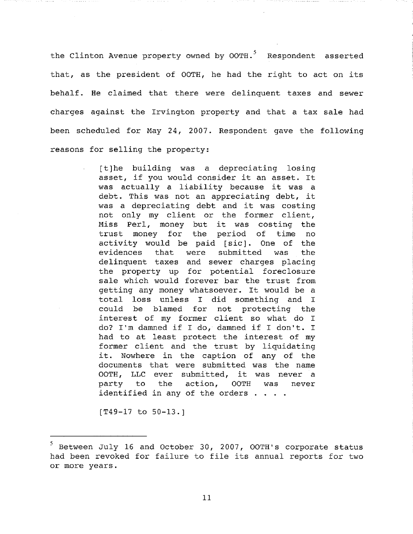the Clinton Avenue property owned by  $00TH.^5$  Respondent asserted that, as the president of 00TH, he had the right to act on its behalf. He claimed that there were delinquent taxes and sewer charges against the Irvington property and that a tax sale had been scheduled for May 24, 2007. Respondent gave the following reasons for selling the property:

> [t]he building was a depreciating losing asset, if you would consider it an asset. It was actually a liability because it was a debt. This was not an appreciating debt, it was a depreciating debt and it was costing not only my client or the former client, Miss Perl, money but it was costing the trust money for the period of time no activity would be paid [sic]. One of the evidences that were submitted was the delinquent taxes and sewer charges placing the property up for potential foreclosure sale which would forever bar the trust from getting any money whatsoever. It would be a total loss unless I did something and I could be blamed for not protecting the interest of my former client so what do I do? I'm damned if I do, damned if I don't. I had to at least protect the interest of my former client and the trust by liquidating it. Nowhere in the caption of any of the documents that were submitted was the name OOTH, LLC ever submitted, it was never a party to the action, OOTH was never identified in any of the orders . . . .

[T49-17 to 50-13.]

 $5$  Between July 16 and October 30, 2007, OOTH's corporate status had been revoked for failure to file its annual reports for two or more years.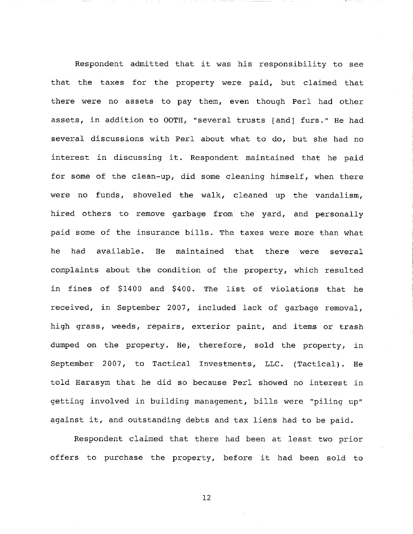Respondent admitted that it was his responsibility to see that the taxes for the property were paid, but claimed that there were no assets to pay them, even though Perl had other assets, in addition to OOTH, "several trusts [and] furs." He had several discussions with Perl about what to do, but she had no interest in discussing it. Respondent maintained that he paid for some of the clean-up, did some cleaning himself, when there were no funds, shoveled the walk, cleaned up the vandalism, hired others to remove garbage from the yard, and personally paid some of the insurance bills. The taxes were more than what he had available. He maintained that there were several complaints about the condition of the property, which resulted in fines of \$1400 and \$400. The list of violations that he received, in September 2007, included lack of garbage removal, high grass, weeds, repairs, exterior paint, and items or trash dumped on the property. He, therefore, sold the property, in September 2007, to Tactical Investments, LLC. (Tactical). He told Harasym that he did so because Perl showed no interest in getting involved in building management, bills were "piling up" against it, and outstanding debts and tax liens had to be paid.

Respondent claimed that there had been at least two prior offers to purchase the property, before it had been sold to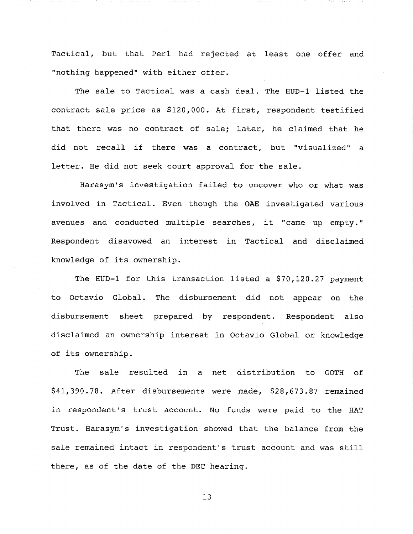Tactical, but that Perl had rejected at least one offer and "nothing happened" with either offer.

The sale to Tactical was a cash deal. The HUD-I listed the contract sale price as \$120,000. At first, respondent testified that there was no contract of sale; later, he claimed that he did not recall if there was a contract, but "visualized" a letter. He did not seek court approval for the sale.

Harasym's investigation failed to uncover who or what was involved in Tactical. Even though the OAE investigated various avenues and conducted multiple searches, it "came up empty." Respondent disavowed an interest in Tactical and disclaimed knowledge of its ownership.

The HUD-I for this transaction listed a \$70,120.27 payment to Octavio Global. The disbursement did not appear on the disbursement sheet prepared by respondent. Respondent also disclaimed an ownership interest in Octavio Global or knowledge of its ownership.

The sale resulted in a net distribution to OOTH of \$41,390.78. After disbursements were made, \$28,673.87 remained in respondent's trust account. No funds were paid to the HAT Trust. Harasym's investigation showed that the balance from the sale remained intact in respondent's trust account and was still there, as of the date of the DEC hearing.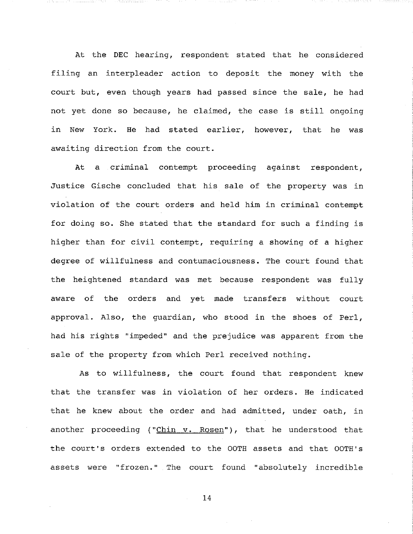At the DEC hearing, respondent stated that he considered filing an interpleader action to deposit the money with the court but, even though years had passed since the sale, he had not yet done so because, he claimed, the case is still ongoing in New York. He had stated earlier, however, that he was awaiting direction from the court.

المنافذا المشتمع ومعجب

At a criminal contempt proceeding against respondent, Justice Gische concluded that his sale of the property was in violation of the court orders and held him in criminal contempt for doing so. She stated that the standard for such a finding is higher than for civil contempt, requiring a showing of a higher degree of willfulness and contumaciousness. The court found that the heightened standard was met because respondent was fully aware of the orders and yet made transfers without court approval. Also, the guardian, who stood in the shoes of Perl, had his rights "impeded" and the prejudice was apparent from the sale of the property from which Perl received nothing.

As to willfulness, the court found that respondent knew that the transfer was in violation of her orders. He indicated that he knew about the order and had admitted, under oath, in another proceeding (" $Chin v. Rosen$ "), that he understood that the court's orders extended to the OOTH assets and that OOTH's assets were "frozen." The court found "absolutely incredible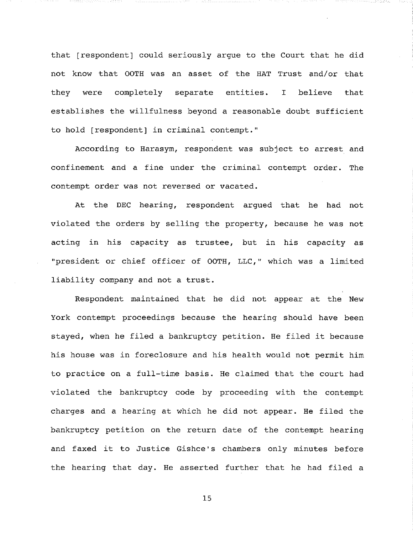that [respondent] could seriously argue to the Court that he did not know that OOTH was an asset of the HAT Trust and/or that they were completely separate entities. I believe that establishes the willfulness beyond a reasonable doubt sufficient to hold [respondent] in criminal contempt."

11 9 9 9 9 9 9 9 9 9 9 9 1 1 1 1 1 2 3

According to Harasym, respondent was subject to arrest and confinement and a fine under the criminal contempt order. The contempt order was not reversed or vacated.

At the DEC hearing, respondent argued that he had not violated the orders by selling the property, because he was not acting in his capacity as trustee, but in his capacity as "president or chief officer of OOTH, LLC," which was a limited liability company and not a trust.

Respondent maintained that he did not appear at the New York contempt proceedings because the hearing should have been stayed, when he filed a bankruptcy petition. He filed it because his house was in foreclosure and his health would not permit him to practice on a full-time basis. He claimed that the court had violated the bankruptcy code by proceeding with the contempt charges and a hearing at which he did not appear. He filed the bankruptcy petition on the return date of the contempt hearing and faxed it to Justice Gishce's chambers only minutes before the hearing that day. He asserted further that he had filed a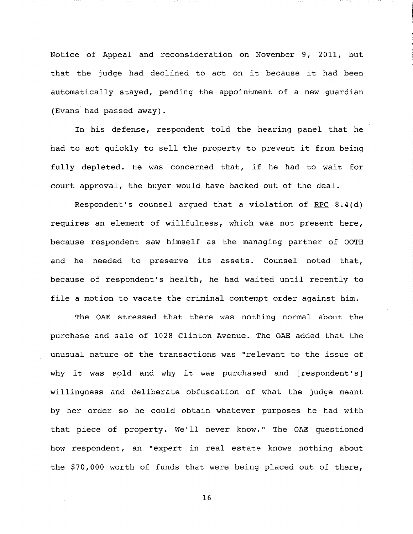Notice of Appeal and reconsideration on November 9, 2011, but that the judge had declined to act on it because it had been automatically stayed, pending the appointment of a new guardian (Evans had passed away).

en monte

In his defense, respondent told the hearing panel that he had to act quickly to sell the property to prevent it from being fully depleted. He was concerned that, if he had to wait for court approval, the buyer would have backed out of the deal.

Respondent's counsel argued that a violation of RPC 8.4(d) requires an element of willfulness, which was not present here, because respondent saw himself as the managing partner of OOTH and he needed to preserve its assets. Counsel noted that, because of respondent's health, he had waited until recently to file a motion to vacate the criminal contempt order against him.

The OAE stressed that there was nothing normal about the purchase and sale of 1028 Clinton Avenue. The OAE added that the unusual nature of the transactions was "relevant to the issue of why it was sold and why it was purchased and [respondent's] willingness and deliberate obfuscation of what the judge meant by her order so he could obtain whatever purposes he had with that piece of property. We'll never know." The OAE questioned how respondent, an "expert in real estate knows nothing about the \$70,000 worth of funds that were being placed out of there,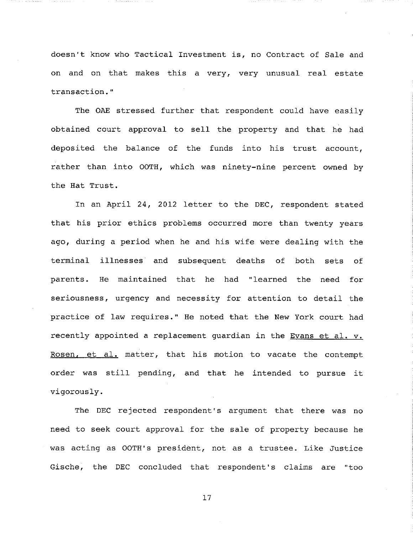doesn't know who Tactical Investment is, no Contract of Sale and on and on that makes this a very, very unusual real estate transaction."

The OAE stressed further that respondent could have easily obtained court approval to sell the property and that he had deposited the balance of the funds into his trust account, rather than into OOTH, which was ninety-nine percent owned by the Hat Trust.

In an April 24, 2012 letter to the DEC, respondent stated that his prior ethics problems occurred more than twenty years ago, during a period when he and his wife were dealing with the terminal illnesses and subsequent deaths of both sets of parents. He maintained that he had "learned the need for seriousness, urgency and necessity for attention to detail the practice of law requires." He noted that the New York court had recently appointed a replacement guardian in the Evans et al. v. Rosen, et al. matter, that his motion to vacate the contempt order was still pending, and that he intended to pursue it vigorously.

The DEC rejected respondent's argument that there was no need to seek court approval for the sale of property because he was acting as OOTH's president, not as a trustee. Like Justice Gische, the DEC concluded that respondent's claims are "too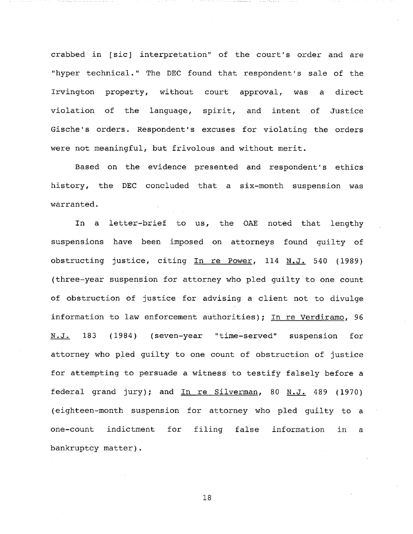crabbed in [sic] interpretation" of the court's order and are "hyper technical." The DEC found that respondent's sale of the Irvington property, without court approval, was a direct violation of the language, spirit, and intent of Justice Gische's orders. Respondent's excuses for violating the orders were not meaningful, but frivolous and without merit.

Based on the evidence presented and respondent's ethics history, the DEC concluded that a six-month suspension was **warranted.**

In a letter-brief to us, the OAE noted that lengthy suspensions have been imposed on attorneys found guilty of obstructing justice, citing In re Power, 114 N.J. 540 (1989) (three-year suspension for attorney who pled guilty to one count of obstruction of justice for advising a client not to divulge information to law enforcement authorities); In re Verdiramo, 96 N.J. 183 (1984) (seven-year "time-served" suspension for attorney who pled guilty to one count of obstruction of justice for attempting to persuade a witness to testify falsely before a federal grand jury); and In re Silverman, 80 N.J. 489 (1970) (eighteen-month suspension for attorney who pled guilty to a one-count indictment for filing false information in a bankruptcy matter).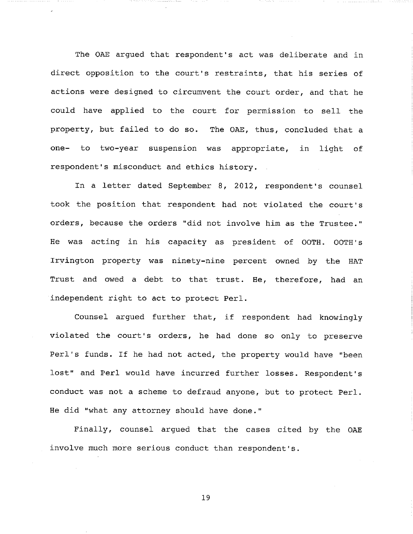The OAE argued that respondent's act was deliberate and in direct opposition to the court's restraints, that his series of actions were designed to circumvent the court order, and that he could have applied to the court for permission to sell the property, but failed to do so. The OAE, thus, concluded that a one- to two-year suspension was appropriate, in light of respondent's misconduct and ethics history.

-75

In a letter dated September 8, 2012, respondent's counsel took the position that respondent had not violated the court's orders, because the orders "did not involve him as the Trustee." He was acting in his capacity as president of OOTH. OOTH's Irvington property was ninety-nine percent owned by the HAT Trust and owed a debt to that trust. He, therefore, had an independent right to act to protect Perl.

Counsel argued further that, if respondent had knowingly violated the court's orders, he had done so only to preserve Perl's funds. If he had not acted, the property would have "been lost" and Perl would have incurred further losses. Respondent's conduct was not a scheme to defraud anyone, but to protect Perl. He did "what any attorney should have done."

Finally, counsel argued that the cases cited by the OAE involve much more serious conduct than respondent's.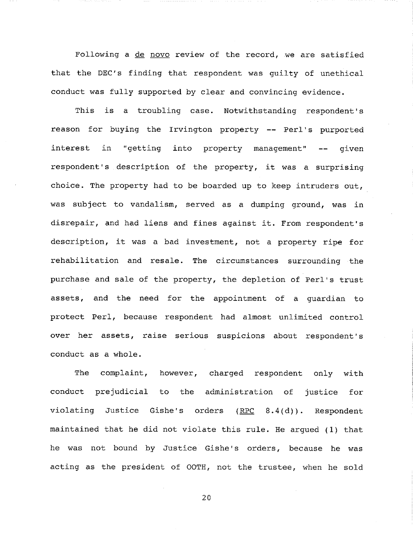Following a de novo review of the record, we are satisfied that the DEC's finding that respondent was guilty of unethical conduct was fully supported by clear and convincing evidence.

This is a troubling case. Notwithstanding respondent's reason for buying the Irvington property -- Perl's purported interest in "getting into property management" -- given respondent's description of the property, it was a surprising choice. The property had to be boarded up to keep intruders out, was subject to vandalism, served as a dumping ground, was in disrepair, and had liens and fines against it. From respondent's description, it was a bad investment, not a property ripe for rehabilitation and resale. The circumstances surrounding the purchase and sale of the property, the depletion of Perl's trust assets, and the need for the appointment of a guardian to protect Perl, because respondent had almost unlimited control over her assets, raise serious suspicions about respondent's conduct as a whole.

The complaint, however, charged respondent only with conduct prejudicial to the administration of justice for violating Justice Gishe's orders  $($  RPC  $8.4$ (d)). Respondent maintained that he did not violate this rule. He argued (i) that he was not bound by Justice Gishe's orders, because he was acting as the president of OOTH, not the trustee, when he sold

2O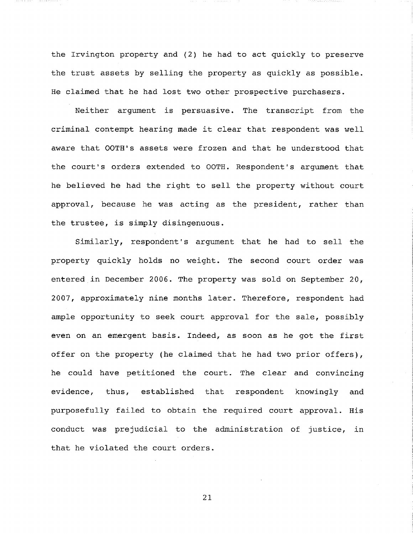the Irvington property and (2) he had to act quickly to preserve the trust assets by selling the property as quickly as possible. He claimed that he had lost two other prospective purchasers.

Neither argument is persuasive. The transcript from the criminal contempt hearing made it clear that respondent was well aware that OOTH's assets were frozen and that he understood that the court's orders extended to OOTH. Respondent's argument that he believed he had the right to sell the property without court approval, because he was acting as the president, rather than the trustee, is simply disingenuous.

Similarly, respondent's argument that he had to sell the property quickly holds no weight. The second court order was entered in December 2006. The property was sold on September 20, 2007, approximately nine months later. Therefore, respondent had ample opportunity to seek court approval for the sale, possibly even on an emergent basis. Indeed, as soon as he got the first offer on the property (he claimed that he had two prior offers), he could have petitioned the court. The clear and convincing evidence, thus, established that respondent knowingly and purposefully failed to obtain the required court approval. His conduct was prejudicial to the administration of justice, in that he violated the court orders.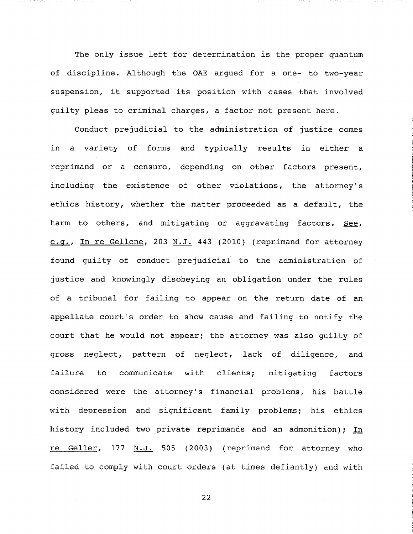The only issue left for determination is the proper quantum of discipline. Although the OAE argued for a one- to two-year suspension, it supported its position with cases that involved guilty pleas to criminal charges, a factor not present here.

Conduct prejudicial to the administration of justice comes in a variety of forms and typically results in either a reprimand or a censure, depending on other factors present, including the existence of other violations, the attorney's ethics history, whether the matter proceeded as a default, the harm to others, and mitigating or aggravating factors. See, e.q., In re Gellene, 203 N.J. 443 (2010) (reprimand for attorney found guilty of conduct prejudicial to the administration of justice and knowingly disobeying an obligation under the rules of a tribunal for failing to appear on the return date of an appellate court's order to show cause and failing to notify the court that he would not appear; the attorney was also guilty of gross neglect, pattern of neglect, lack of diligence, and failure to communicate with clients; mitigating factors considered were the attorney's financial problems, his battle with depression and significant family problems; his ethics history included two private reprimands and an admonition); In re Geller, 177 N.J. 505 (2003) (reprimand for attorney who failed to comply with court orders (at times defiantly) and with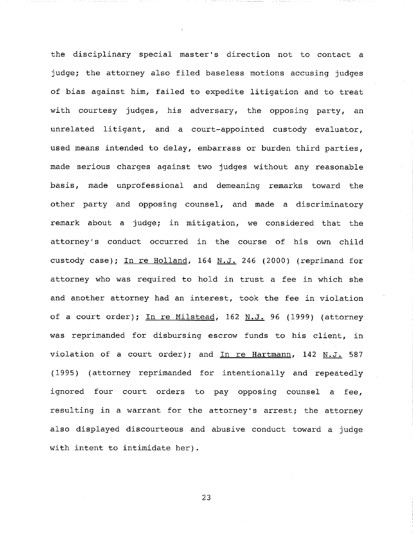the disciplinary special master's direction not to contact a judge; the attorney also filed baseless motions accusing judges of bias against him, failed to expedite litigation and to treat with courtesy judges, his adversary, the opposing party, an unrelated litigant, and a court-appointed custody evaluator, used means intended to delay, embarrass or burden third parties, made serious charges against two judges without any reasonable basis, made unprofessional and demeaning remarks toward the other party and opposing counsel, and made a discriminatory remark about a judge; in mitigation, we considered that the attorney's conduct occurred in the course of his own child custody case); In re Holland, 164 N.J. 246 (2000) (reprimand for attorney who was required to hold in trust a fee in which she and another attorney had an interest, took the fee in violation of a court order); In re Milstead, 162 N.J. 96 (1999) (attorney was reprimanded for disbursing escrow funds to his client, in violation of a court order); and In re Hartmann,  $142$  N.J. 587 (1995) (attorney reprimanded for intentionally and repeatedly ignored four court orders to pay opposing counsel a fee, resulting in a warrant for the attorney's arrest; the attorney also displayed discourteous and abusive conduct toward a judge with intent to intimidate her).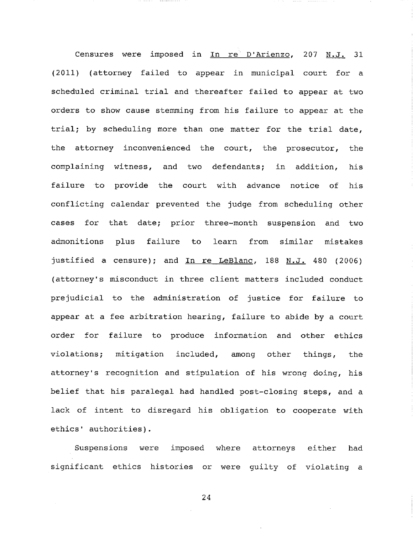Censures were imposed in In re D'Arienzo, 207 N.J. 31 (2011) (attorney failed to appear in municipal court for a scheduled criminal trial and thereafter failed to appear at two orders to show cause stemming from his failure to appear at the trial; by scheduling more than one matter for the trial date, the attorney inconvenienced the court, the prosecutor, the complaining witness, and two defendants; in addition, failure to provide the court with advance notice of his his conflicting calendar prevented the judge from scheduling other cases for that date; prior three-month suspension and two admonitions plus failure to learn from similar mistakes justified a censure); and In re LeBlanc, 188 N.J. 480 (2006) (attorney's misconduct in three client matters included conduct prejudicial to the administration of justice for failure to appear at a fee arbitration hearing, failure to abide by a court order for failure to produce information and other ethics violations; mitigation included, among other things, the attorney's recognition and stipulation of his wrong doing, his belief that his paralegal had handled post-closing steps, and a lack of intent to disregard his obligation to cooperate with ethics' authorities).

. . **. . . . .** . . . . . .

Suspensions were imposed where attorneys either had significant ethics histories or were guilty of violating a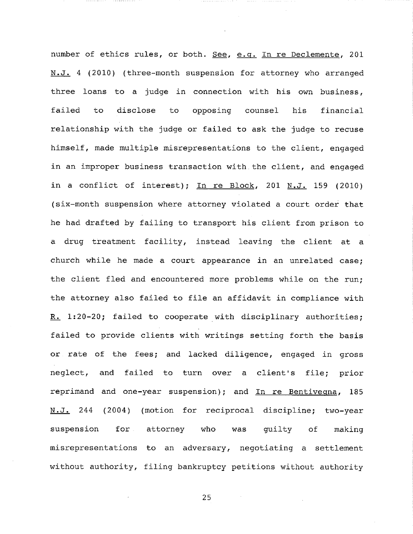**N.J. 244 (2004)** (motion for reciprocal discipline; two-year suspension for number of ethics rules, or both. See, e.g. In re Declemente, 201 N.J. 4 (2010) (three-month suspension for attorney who arranged three loans to a judge in connection with his own business, failed to disclose to opposing counsel his financial relationship with the judge or failed to ask the judge to recuse himself, made multiple misrepresentations to the client, engaged in an improper business transaction with the client, and engaged in a conflict of interest); In re Block, 201  $N.J.$  159 (2010) (six-month suspension where attorney violated a court order that he had drafted by failing to transport his client from prison to a drug treatment facility, instead leaving the client at a church while he made a court appearance in an unrelated case; the client fled and encountered more problems while on the run; the attorney also failed to file an affidavit in compliance with R. 1:20-20; failed to cooperate with disciplinary authorities; failed to provide clients with writings setting forth the basis or rate of the fees; and lacked diligence, engaged in gross neglect, and failed to turn over a client's file; prior reprimand and one-year suspension); and  $In$  re Bentiveqna, 185 attorney who was guilty of making misrepresentations to an adversary, negotiating a settlement without authority, filing bankruptcy petitions without authority

in each each control of the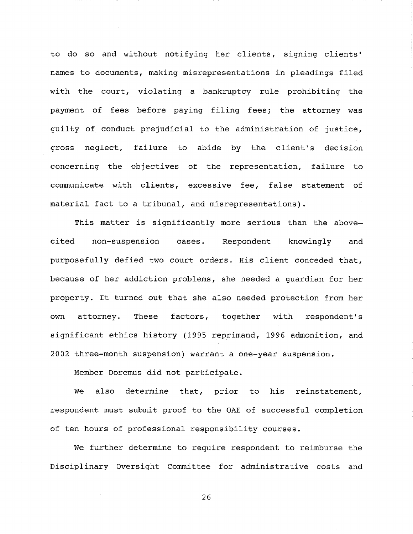to do so and without notifying her clients, signing clients' names to documents, making misrepresentations in pleadings filed with the court, violating a bankruptcy rule prohibiting the payment of fees before paying filing fees; the attorney was guilty of conduct prejudicial to the administration of justice, gross neglect, failure to abide by the client's decision concerning the objectives of the representation, failure to communicate with clients, excessive fee, false statement of material fact to a tribunal, and misrepresentations).

. . . . **. . . . . . . .** . .

This matter is significantly more serious than the abovecited non-suspension cases. Respondent knowingly and purposefully defied two court orders. His client conceded that, because of her addiction problems, she needed a guardian for her property, it turned out that she also needed protection from her own attorney. These factors, together with respondent's significant ethics history (1995 reprimand, 1996 admonition, and 2002 three-month suspension) warrant a one-year suspension.

Member Doremus did not participate.

We also determine that, prior to his reinstatement, respondent must submit proof to the OAE of successful completion of ten hours of professional responsibility courses.

We further determine to require respondent to reimburse the Disciplinary Oversight Committee for administrative costs and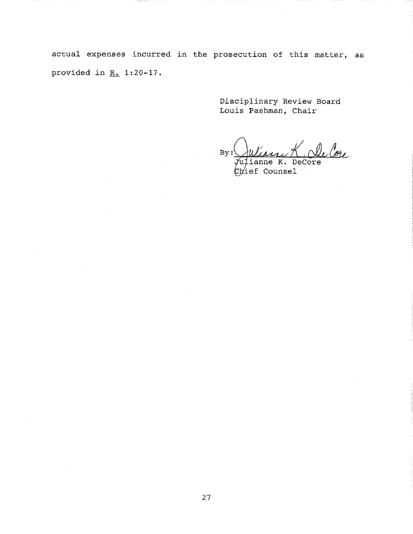actual expenses incurred in the prosecution of this matter, as provided in R. 1:20-17.

,,,,,,,,,

Disciplinary Review Board Louis Pashman, Chair

 $By:$ 

 $\vec{\mathcal{J}}$ uļianne K. DeCore  $C$  prief Counsel